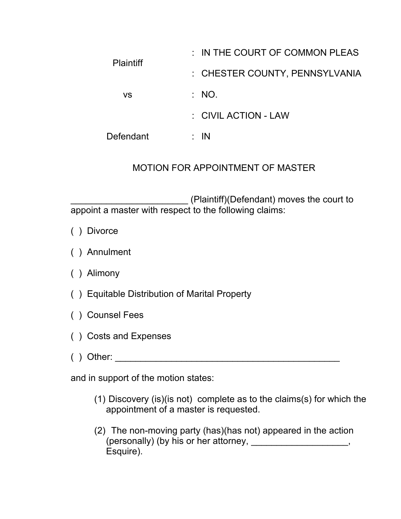| <b>Plaintiff</b> | $\therefore$ IN THE COURT OF COMMON PLEAS |
|------------------|-------------------------------------------|
|                  | : CHESTER COUNTY, PENNSYLVANIA            |
| VS               | $\therefore$ NO.                          |
|                  | : CIVIL ACTION - LAW                      |
| Defendant        | IN                                        |

## MOTION FOR APPOINTMENT OF MASTER

\_\_\_\_\_\_\_\_\_\_\_\_\_\_\_\_\_\_\_\_\_\_\_ (Plaintiff)(Defendant) moves the court to appoint a master with respect to the following claims:

- ( ) Divorce
- ( ) Annulment
- ( ) Alimony
- ( ) Equitable Distribution of Marital Property
- ( ) Counsel Fees
- ( ) Costs and Expenses
- ( ) Other: \_\_\_\_\_\_\_\_\_\_\_\_\_\_\_\_\_\_\_\_\_\_\_\_\_\_\_\_\_\_\_\_\_\_\_\_\_\_\_\_\_\_\_\_

and in support of the motion states:

- (1) Discovery (is)(is not) complete as to the claims(s) for which the appointment of a master is requested.
- (2) The non-moving party (has)(has not) appeared in the action (personally) (by his or her attorney, \_\_\_\_\_\_\_\_\_\_\_\_\_\_\_\_\_\_, Esquire).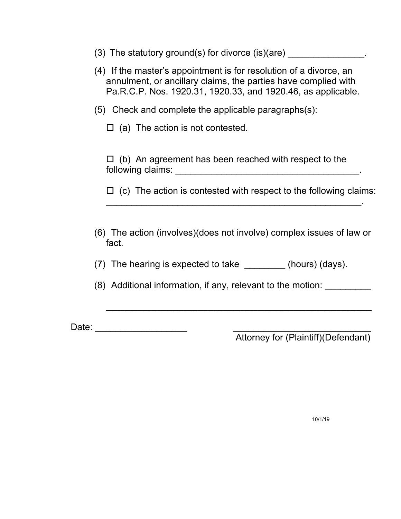- (3) The statutory ground(s) for divorce  $(is)(are)$
- (4) If the master's appointment is for resolution of a divorce, an annulment, or ancillary claims, the parties have complied with Pa.R.C.P. Nos. 1920.31, 1920.33, and 1920.46, as applicable.
- (5) Check and complete the applicable paragraphs(s):

 $\Box$  (a) The action is not contested.

 $\Box$  (b) An agreement has been reached with respect to the following claims: \_\_\_\_\_\_\_\_\_\_\_\_\_\_\_\_\_\_\_\_\_\_\_\_\_\_\_\_\_\_\_\_\_\_\_\_.

 $\Box$  (c) The action is contested with respect to the following claims:

 $\mathcal{L}_\text{max}$  , and the contract of the contract of the contract of the contract of the contract of the contract of the contract of the contract of the contract of the contract of the contract of the contract of the contr

(6) The action (involves)(does not involve) complex issues of law or fact.

 $\mathcal{L}_\text{max}$  , and the contract of the contract of the contract of the contract of the contract of the contract of the contract of the contract of the contract of the contract of the contract of the contract of the contr

- (7) The hearing is expected to take \_\_\_\_\_\_\_\_ (hours) (days).
- (8) Additional information, if any, relevant to the motion:

Date:  $\Box$ 

Attorney for (Plaintiff)(Defendant)